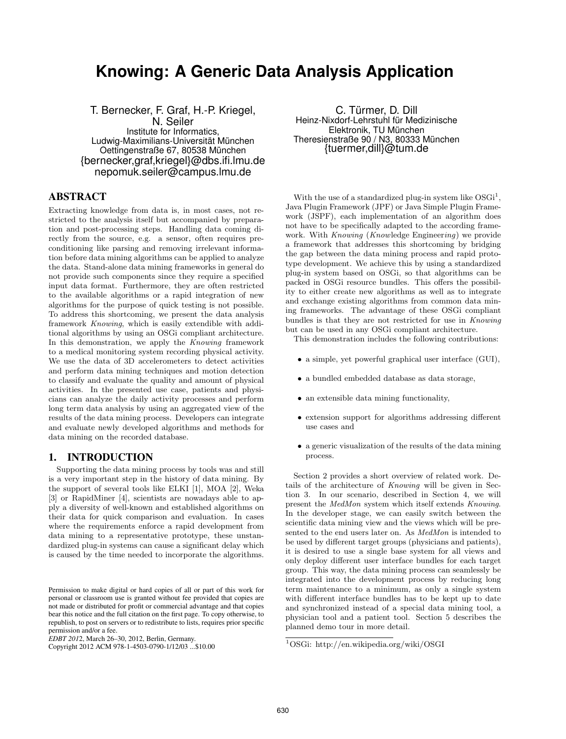# **Knowing: A Generic Data Analysis Application**

T. Bernecker, F. Graf, H.-P. Kriegel, N. Seiler Institute for Informatics, Ludwig-Maximilians-Universität München Oettingenstraße 67, 80538 München {bernecker,graf,kriegel}@dbs.ifi.lmu.de nepomuk.seiler@campus.lmu.de

## ABSTRACT

Extracting knowledge from data is, in most cases, not restricted to the analysis itself but accompanied by preparation and post-processing steps. Handling data coming directly from the source, e.g. a sensor, often requires preconditioning like parsing and removing irrelevant information before data mining algorithms can be applied to analyze the data. Stand-alone data mining frameworks in general do not provide such components since they require a specified input data format. Furthermore, they are often restricted to the available algorithms or a rapid integration of new algorithms for the purpose of quick testing is not possible. To address this shortcoming, we present the data analysis framework Knowing, which is easily extendible with additional algorithms by using an OSGi compliant architecture. In this demonstration, we apply the Knowing framework to a medical monitoring system recording physical activity. We use the data of 3D accelerometers to detect activities and perform data mining techniques and motion detection to classify and evaluate the quality and amount of physical activities. In the presented use case, patients and physicians can analyze the daily activity processes and perform long term data analysis by using an aggregated view of the results of the data mining process. Developers can integrate and evaluate newly developed algorithms and methods for data mining on the recorded database.

#### 1. INTRODUCTION

Supporting the data mining process by tools was and still is a very important step in the history of data mining. By the support of several tools like ELKI [1], MOA [2], Weka [3] or RapidMiner [4], scientists are nowadays able to apply a diversity of well-known and established algorithms on their data for quick comparison and evaluation. In cases where the requirements enforce a rapid development from data mining to a representative prototype, these unstandardized plug-in systems can cause a significant delay which is caused by the time needed to incorporate the algorithms.

*EDBT 201* 2, March 26–30, 2012, Berlin, Germany.

C. Türmer, D. Dill Heinz-Nixdorf-Lehrstuhl für Medizinische Elektronik, TU München Theresienstraße 90 / N3, 80333 München {tuermer,dill}@tum.de

With the use of a standardized plug-in system like  $OSGi<sup>1</sup>$ , Java Plugin Framework (JPF) or Java Simple Plugin Framework (JSPF), each implementation of an algorithm does not have to be specifically adapted to the according framework. With Knowing (Knowledge Engineering) we provide a framework that addresses this shortcoming by bridging the gap between the data mining process and rapid prototype development. We achieve this by using a standardized plug-in system based on OSGi, so that algorithms can be packed in OSGi resource bundles. This offers the possibility to either create new algorithms as well as to integrate and exchange existing algorithms from common data mining frameworks. The advantage of these OSGi compliant bundles is that they are not restricted for use in Knowing but can be used in any OSGi compliant architecture.

This demonstration includes the following contributions:

- a simple, yet powerful graphical user interface (GUI),
- a bundled embedded database as data storage,
- an extensible data mining functionality,
- extension support for algorithms addressing different use cases and
- a generic visualization of the results of the data mining process.

Section 2 provides a short overview of related work. Details of the architecture of Knowing will be given in Section 3. In our scenario, described in Section 4, we will present the MedMon system which itself extends Knowing. In the developer stage, we can easily switch between the scientific data mining view and the views which will be presented to the end users later on. As MedMon is intended to be used by different target groups (physicians and patients), it is desired to use a single base system for all views and only deploy different user interface bundles for each target group. This way, the data mining process can seamlessly be integrated into the development process by reducing long term maintenance to a minimum, as only a single system with different interface bundles has to be kept up to date and synchronized instead of a special data mining tool, a physician tool and a patient tool. Section 5 describes the planned demo tour in more detail.

Permission to make digital or hard copies of all or part of this work for personal or classroom use is granted without fee provided that copies are not made or distributed for profit or commercial advantage and that copies bear this notice and the full citation on the first page. To copy otherwise, to republish, to post on servers or to redistribute to lists, requires prior specific permission and/or a fee.

Copyright 2012 ACM 978-1-4503-0790-1/12/03 ...\$10.00

<sup>1</sup>OSGi: http://en.wikipedia.org/wiki/OSGI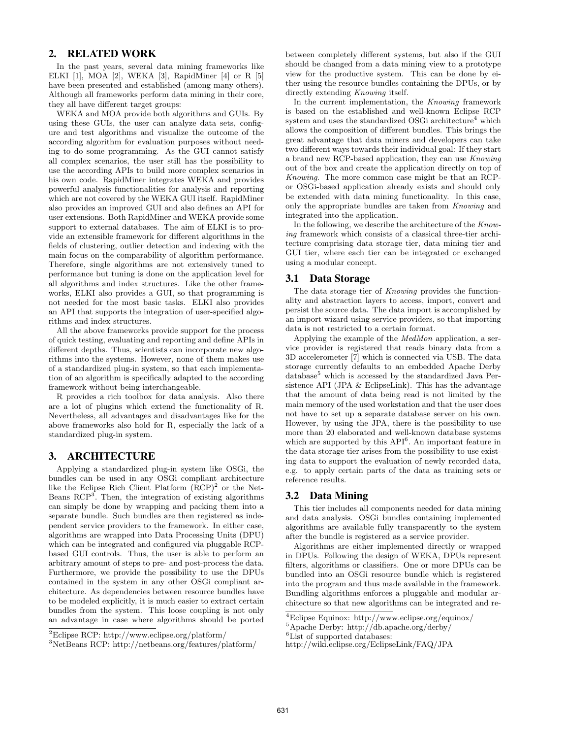## 2. RELATED WORK

In the past years, several data mining frameworks like ELKI [1], MOA [2], WEKA [3], RapidMiner [4] or R [5] have been presented and established (among many others). Although all frameworks perform data mining in their core, they all have different target groups:

WEKA and MOA provide both algorithms and GUIs. By using these GUIs, the user can analyze data sets, configure and test algorithms and visualize the outcome of the according algorithm for evaluation purposes without needing to do some programming. As the GUI cannot satisfy all complex scenarios, the user still has the possibility to use the according APIs to build more complex scenarios in his own code. RapidMiner integrates WEKA and provides powerful analysis functionalities for analysis and reporting which are not covered by the WEKA GUI itself. RapidMiner also provides an improved GUI and also defines an API for user extensions. Both RapidMiner and WEKA provide some support to external databases. The aim of ELKI is to provide an extensible framework for different algorithms in the fields of clustering, outlier detection and indexing with the main focus on the comparability of algorithm performance. Therefore, single algorithms are not extensively tuned to performance but tuning is done on the application level for all algorithms and index structures. Like the other frameworks, ELKI also provides a GUI, so that programming is not needed for the most basic tasks. ELKI also provides an API that supports the integration of user-specified algorithms and index structures.

All the above frameworks provide support for the process of quick testing, evaluating and reporting and define APIs in different depths. Thus, scientists can incorporate new algorithms into the systems. However, none of them makes use of a standardized plug-in system, so that each implementation of an algorithm is specifically adapted to the according framework without being interchangeable.

R provides a rich toolbox for data analysis. Also there are a lot of plugins which extend the functionality of R. Nevertheless, all advantages and disadvantages like for the above frameworks also hold for R, especially the lack of a standardized plug-in system.

#### 3. ARCHITECTURE

Applying a standardized plug-in system like OSGi, the bundles can be used in any OSGi compliant architecture like the Eclipse Rich Client Platform  $(RCP)^2$  or the Net-Beans RCP<sup>3</sup>. Then, the integration of existing algorithms can simply be done by wrapping and packing them into a separate bundle. Such bundles are then registered as independent service providers to the framework. In either case, algorithms are wrapped into Data Processing Units (DPU) which can be integrated and configured via pluggable RCPbased GUI controls. Thus, the user is able to perform an arbitrary amount of steps to pre- and post-process the data. Furthermore, we provide the possibility to use the DPUs contained in the system in any other OSGi compliant architecture. As dependencies between resource bundles have to be modeled explicitly, it is much easier to extract certain bundles from the system. This loose coupling is not only an advantage in case where algorithms should be ported between completely different systems, but also if the GUI should be changed from a data mining view to a prototype view for the productive system. This can be done by either using the resource bundles containing the DPUs, or by directly extending *Knowing* itself.

In the current implementation, the Knowing framework is based on the established and well-known Eclipse RCP system and uses the standardized OSGi architecture<sup>4</sup> which allows the composition of different bundles. This brings the great advantage that data miners and developers can take two different ways towards their individual goal: If they start a brand new RCP-based application, they can use Knowing out of the box and create the application directly on top of Knowing. The more common case might be that an RCPor OSGi-based application already exists and should only be extended with data mining functionality. In this case, only the appropriate bundles are taken from Knowing and integrated into the application.

In the following, we describe the architecture of the  $Know$ ing framework which consists of a classical three-tier architecture comprising data storage tier, data mining tier and GUI tier, where each tier can be integrated or exchanged using a modular concept.

#### 3.1 Data Storage

The data storage tier of *Knowing* provides the functionality and abstraction layers to access, import, convert and persist the source data. The data import is accomplished by an import wizard using service providers, so that importing data is not restricted to a certain format.

Applying the example of the MedMon application, a service provider is registered that reads binary data from a 3D accelerometer [7] which is connected via USB. The data storage currently defaults to an embedded Apache Derby  $database<sup>5</sup>$  which is accessed by the standardized Java Persistence API (JPA & EclipseLink). This has the advantage that the amount of data being read is not limited by the main memory of the used workstation and that the user does not have to set up a separate database server on his own. However, by using the JPA, there is the possibility to use more than 20 elaborated and well-known database systems which are supported by this API<sup>6</sup>. An important feature in the data storage tier arises from the possibility to use existing data to support the evaluation of newly recorded data, e.g. to apply certain parts of the data as training sets or reference results.

#### 3.2 Data Mining

This tier includes all components needed for data mining and data analysis. OSGi bundles containing implemented algorithms are available fully transparently to the system after the bundle is registered as a service provider.

Algorithms are either implemented directly or wrapped in DPUs. Following the design of WEKA, DPUs represent filters, algorithms or classifiers. One or more DPUs can be bundled into an OSGi resource bundle which is registered into the program and thus made available in the framework. Bundling algorithms enforces a pluggable and modular architecture so that new algorithms can be integrated and re-

<sup>2</sup>Eclipse RCP: http://www.eclipse.org/platform/

<sup>3</sup>NetBeans RCP: http://netbeans.org/features/platform/

<sup>4</sup>Eclipse Equinox: http://www.eclipse.org/equinox/

<sup>5</sup>Apache Derby: http://db.apache.org/derby/

<sup>&</sup>lt;sup>6</sup>List of supported databases:

http://wiki.eclipse.org/EclipseLink/FAQ/JPA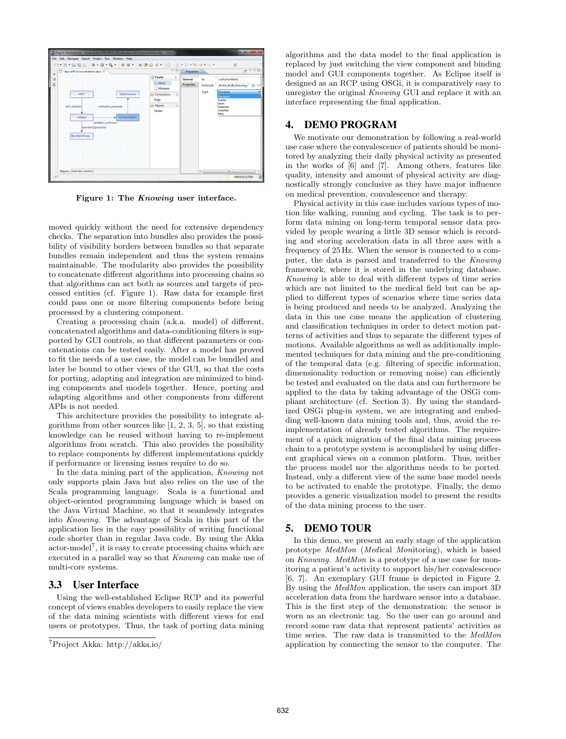|                                                                                                                     | *dpu-arff-xcrossvalidation.dpu 23 |                | $=$ $-$                                                  |          | Properties 33                |                                   | $\rightarrow$ $\rightarrow$ $\rightarrow$ $\rightarrow$    |
|---------------------------------------------------------------------------------------------------------------------|-----------------------------------|----------------|----------------------------------------------------------|----------|------------------------------|-----------------------------------|------------------------------------------------------------|
|                                                                                                                     | ARFF                              | TablePresenter | Palette<br>$\mathbb{R}$ Select<br>Marquee<br>Connections | Þ<br>40. | General<br><b>Properties</b> | Id:<br>FactoryId:<br>Type:        | confusionMatrix<br>de.lmu.ifi.dbs.knowing.c 3<br>Processor |
|                                                                                                                     |                                   |                | Edge<br><b>De Objects</b>                                | $\omega$ |                              |                                   | Processor<br>Loader<br>Saver                               |
| arff validator<br>confusion presenter<br>confusionMatrix<br>validator<br>validator_confusion<br>rawMatrix2presenter |                                   | <b>Nodes</b>   |                                                          |          |                              | Presenter<br>Classifier<br>Filter |                                                            |
|                                                                                                                     |                                   |                |                                                          |          |                              |                                   |                                                            |
|                                                                                                                     | <b>RawliatrixPrese</b>            |                |                                                          |          |                              |                                   |                                                            |
|                                                                                                                     |                                   |                |                                                          |          |                              |                                   |                                                            |

Figure 1: The Knowing user interface.

moved quickly without the need for extensive dependency checks. The separation into bundles also provides the possibility of visibility borders between bundles so that separate bundles remain independent and thus the system remains maintainable. The modularity also provides the possibility to concatenate different algorithms into processing chains so that algorithms can act both as sources and targets of processed entities (cf. Figure 1). Raw data for example first could pass one or more filtering components before being processed by a clustering component.

Creating a processing chain (a.k.a. model) of different, concatenated algorithms and data-conditioning filters is supported by GUI controls, so that different parameters or concatenations can be tested easily. After a model has proved to fit the needs of a use case, the model can be bundled and later be bound to other views of the GUI, so that the costs for porting, adapting and integration are minimized to binding components and models together. Hence, porting and adapting algorithms and other components from different APIs is not needed.

This architecture provides the possibility to integrate algorithms from other sources like  $[1, 2, 3, 5]$ , so that existing knowledge can be reused without having to re-implement algorithms from scratch. This also provides the possibility to replace components by different implementations quickly if performance or licensing issues require to do so.

In the data mining part of the application, Knowing not only supports plain Java but also relies on the use of the Scala programming language. Scala is a functional and object-oriented programming language which is based on the Java Virtual Machine, so that it seamlessly integrates into Knowing. The advantage of Scala in this part of the application lies in the easy possibility of writing functional code shorter than in regular Java code. By using the Akka actor-model<sup>7</sup> , it is easy to create processing chains which are executed in a parallel way so that *Knowing* can make use of multi-core systems.

#### 3.3 User Interface

Using the well-established Eclipse RCP and its powerful concept of views enables developers to easily replace the view of the data mining scientists with different views for end users or prototypes. Thus, the task of porting data mining algorithms and the data model to the final application is replaced by just switching the view component and binding model and GUI components together. As Eclipse itself is designed as an RCP using OSGi, it is comparatively easy to unregister the original Knowing GUI and replace it with an interface representing the final application.

#### 4. DEMO PROGRAM

We motivate our demonstration by following a real-world use case where the convalescence of patients should be monitored by analyzing their daily physical activity as presented in the works of [6] and [7]. Among others, features like quality, intensity and amount of physical activity are diagnostically strongly conclusive as they have major influence on medical prevention, convalescence and therapy.

Physical activity in this case includes various types of motion like walking, running and cycling. The task is to perform data mining on long-term temporal sensor data provided by people wearing a little 3D sensor which is recording and storing acceleration data in all three axes with a frequency of 25 Hz. When the sensor is connected to a computer, the data is parsed and transferred to the Knowing framework, where it is stored in the underlying database. Knowing is able to deal with different types of time series which are not limited to the medical field but can be applied to different types of scenarios where time series data is being produced and needs to be analyzed. Analyzing the data in this use case means the application of clustering and classification techniques in order to detect motion patterns of activities and thus to separate the different types of motions. Available algorithms as well as additionally implemented techniques for data mining and the pre-conditioning of the temporal data (e.g. filtering of specific information, dimensionality reduction or removing noise) can efficiently be tested and evaluated on the data and can furthermore be applied to the data by taking advantage of the OSGi compliant architecture (cf. Section 3). By using the standardized OSGi plug-in system, we are integrating and embedding well-known data mining tools and, thus, avoid the reimplementation of already tested algorithms. The requirement of a quick migration of the final data mining process chain to a prototype system is accomplished by using different graphical views on a common platform. Thus, neither the process model nor the algorithms needs to be ported. Instead, only a different view of the same base model needs to be activated to enable the prototype. Finally, the demo provides a generic visualization model to present the results of the data mining process to the user.

#### 5. DEMO TOUR

In this demo, we present an early stage of the application prototype MedMon (Medical Monitoring), which is based on Knowing. MedMon is a prototype of a use case for monitoring a patient's activity to support his/her convalescence [6, 7]. An exemplary GUI frame is depicted in Figure 2. By using the MedMon application, the users can import 3D acceleration data from the hardware sensor into a database. This is the first step of the demonstration: the sensor is worn as an electronic tag. So the user can go around and record some raw data that represent patients' activities as time series. The raw data is transmitted to the MedMon application by connecting the sensor to the computer. The

<sup>7</sup>Project Akka: http://akka.io/